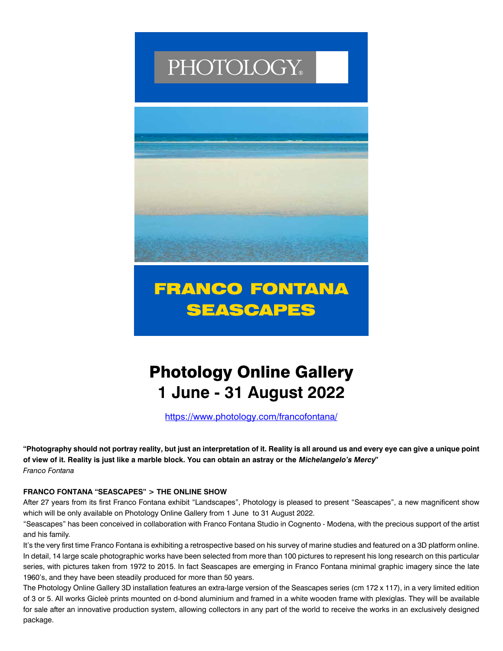# PHOTOLOGY®



### FRANCO FONTANA SEASCAPES

## Photology Online Gallery **1 June - 31 August 2022**

https://www.photology.com/francofontana/

**"Photography should not portray reality, but just an interpretation of it. Reality is all around us and every eye can give a unique point of view of it. Reality is just like a marble block. You can obtain an astray or the Michelangelo's Mercy"** *Franco Fontana*

### **FRANCO FONTANA "SEASCAPES" > THE ONLINE SHOW**

After 27 years from its first Franco Fontana exhibit "Landscapes", Photology is pleased to present "Seascapes", a new magnificent show which will be only available on Photology Online Gallery from 1 June to 31 August 2022.

"Seascapes" has been conceived in collaboration with Franco Fontana Studio in Cognento - Modena, with the precious support of the artist and his family.

It's the very first time Franco Fontana is exhibiting a retrospective based on his survey of marine studies and featured on a 3D platform online. In detail, 14 large scale photographic works have been selected from more than 100 pictures to represent his long research on this particular series, with pictures taken from 1972 to 2015. In fact Seascapes are emerging in Franco Fontana minimal graphic imagery since the late 1960's, and they have been steadily produced for more than 50 years.

The Photology Online Gallery 3D installation features an extra-large version of the Seascapes series (cm 172 x 117), in a very limited edition of 3 or 5. All works Gicleè prints mounted on d-bond aluminium and framed in a white wooden frame with plexiglas. They will be available for sale after an innovative production system, allowing collectors in any part of the world to receive the works in an exclusively designed package.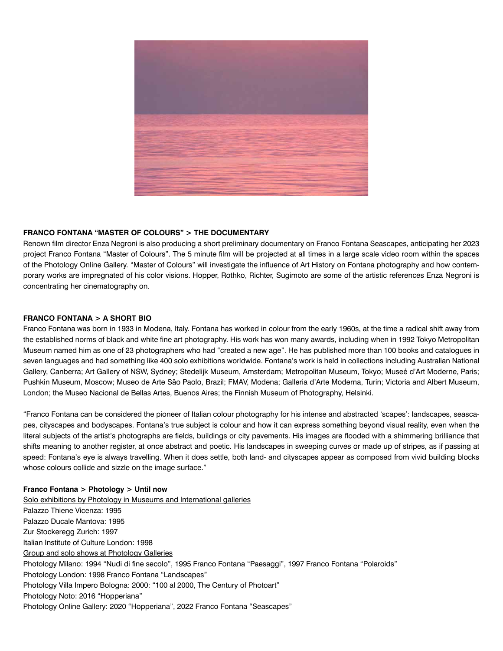

#### **FRANCO FONTANA "MASTER OF COLOURS" > THE DOCUMENTARY**

Renown film director Enza Negroni is also producing a short preliminary documentary on Franco Fontana Seascapes, anticipating her 2023 project Franco Fontana "Master of Colours". The 5 minute film will be projected at all times in a large scale video room within the spaces of the Photology Online Gallery. "Master of Colours" will investigate the influence of Art History on Fontana photography and how contemporary works are impregnated of his color visions. Hopper, Rothko, Richter, Sugimoto are some of the artistic references Enza Negroni is concentrating her cinematography on.

#### **FRANCO FONTANA > A SHORT BIO**

Franco Fontana was born in 1933 in Modena, Italy. Fontana has worked in colour from the early 1960s, at the time a radical shift away from the established norms of black and white fine art photography. His work has won many awards, including when in 1992 Tokyo Metropolitan Museum named him as one of 23 photographers who had "created a new age". He has published more than 100 books and catalogues in seven languages and had something like 400 solo exhibitions worldwide. Fontana's work is held in collections including Australian National Gallery, Canberra; Art Gallery of NSW, Sydney; Stedelijk Museum, Amsterdam; Metropolitan Museum, Tokyo; Museé d'Art Moderne, Paris; Pushkin Museum, Moscow; Museo de Arte São Paolo, Brazil; FMAV, Modena; Galleria d'Arte Moderna, Turin; Victoria and Albert Museum, London; the Museo Nacional de Bellas Artes, Buenos Aires; the Finnish Museum of Photography, Helsinki.

"Franco Fontana can be considered the pioneer of Italian colour photography for his intense and abstracted 'scapes': landscapes, seascapes, cityscapes and bodyscapes. Fontana's true subject is colour and how it can express something beyond visual reality, even when the literal subjects of the artist's photographs are fields, buildings or city pavements. His images are flooded with a shimmering brilliance that shifts meaning to another register, at once abstract and poetic. His landscapes in sweeping curves or made up of stripes, as if passing at speed: Fontana's eye is always travelling. When it does settle, both land- and cityscapes appear as composed from vivid building blocks whose colours collide and sizzle on the image surface."

#### **Franco Fontana > Photology > Until now**

Solo exhibitions by Photology in Museums and International galleries Palazzo Thiene Vicenza: 1995 Palazzo Ducale Mantova: 1995 Zur Stockeregg Zurich: 1997 Italian Institute of Culture London: 1998 Group and solo shows at Photology Galleries Photology Milano: 1994 "Nudi di fine secolo", 1995 Franco Fontana "Paesaggi", 1997 Franco Fontana "Polaroids" Photology London: 1998 Franco Fontana "Landscapes" Photology Villa Impero Bologna: 2000: "100 al 2000, The Century of Photoart" Photology Noto: 2016 "Hopperiana" Photology Online Gallery: 2020 "Hopperiana", 2022 Franco Fontana "Seascapes"